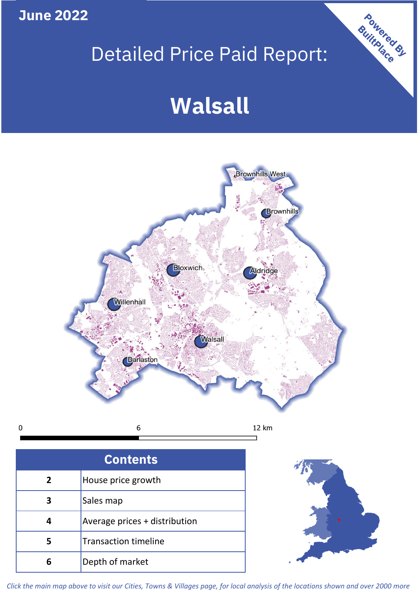**June 2022**

 $\mathbf 0$ 

# Detailed Price Paid Report:

# **Walsall**



**Contents 5 4 3 2** House price growth Sales map Average prices + distribution Transaction timeline **6** Depth of market



Powered By

*Click the main map above to visit our Cities, Towns & Villages page, for local analysis of the locations shown and over 2000 more*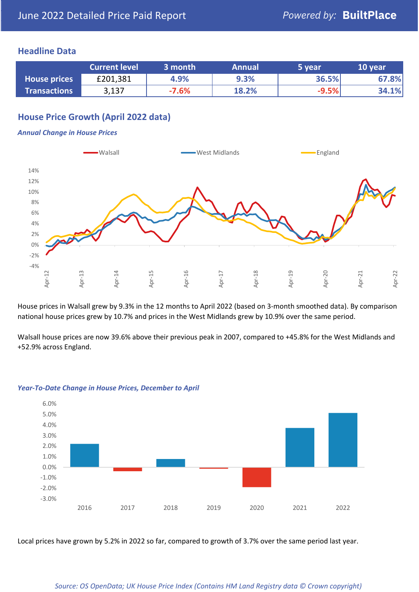### **Headline Data**

|                     | <b>Current level</b> | 3 month | <b>Annual</b> | 5 year  | 10 year |
|---------------------|----------------------|---------|---------------|---------|---------|
| <b>House prices</b> | £201,381             | 4.9%    | 9.3%          | 36.5%   | 67.8%   |
| <b>Transactions</b> | 3,137                | $-7.6%$ | 18.2%         | $-9.5%$ | 34.1%   |

# **House Price Growth (April 2022 data)**

#### *Annual Change in House Prices*



House prices in Walsall grew by 9.3% in the 12 months to April 2022 (based on 3-month smoothed data). By comparison national house prices grew by 10.7% and prices in the West Midlands grew by 10.9% over the same period.

Walsall house prices are now 39.6% above their previous peak in 2007, compared to +45.8% for the West Midlands and +52.9% across England.



#### *Year-To-Date Change in House Prices, December to April*

Local prices have grown by 5.2% in 2022 so far, compared to growth of 3.7% over the same period last year.

#### *Source: OS OpenData; UK House Price Index (Contains HM Land Registry data © Crown copyright)*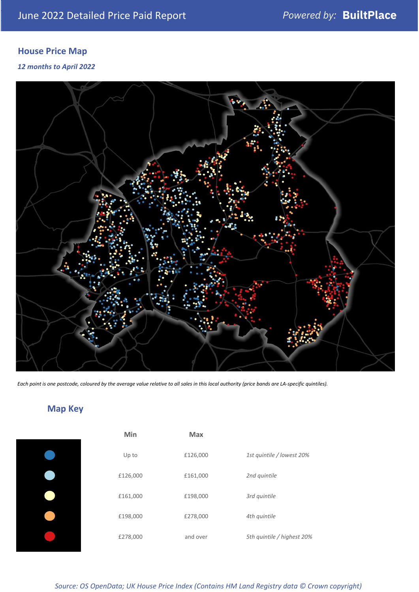# **House Price Map**

*12 months to April 2022*



*Each point is one postcode, coloured by the average value relative to all sales in this local authority (price bands are LA-specific quintiles).*

# **Map Key**

| Min      | Max      |                            |
|----------|----------|----------------------------|
| Up to    | £126,000 | 1st quintile / lowest 20%  |
| £126,000 | £161,000 | 2nd quintile               |
| £161,000 | £198,000 | 3rd quintile               |
| £198,000 | £278,000 | 4th quintile               |
| £278,000 | and over | 5th quintile / highest 20% |

*Source: OS OpenData; UK House Price Index (Contains HM Land Registry data © Crown copyright)*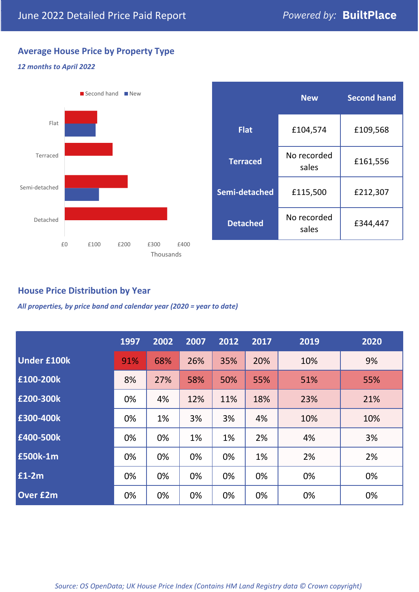# **Average House Price by Property Type**

#### *12 months to April 2022*



|                 | <b>New</b>           | <b>Second hand</b> |  |  |
|-----------------|----------------------|--------------------|--|--|
| <b>Flat</b>     | £104,574             | £109,568           |  |  |
| <b>Terraced</b> | No recorded<br>sales | £161,556           |  |  |
| Semi-detached   | £115,500             | £212,307           |  |  |
| <b>Detached</b> | No recorded<br>sales | £344,447           |  |  |

## **House Price Distribution by Year**

*All properties, by price band and calendar year (2020 = year to date)*

|                    | 1997 | 2002 | 2007 | 2012 | 2017 | 2019 | 2020 |
|--------------------|------|------|------|------|------|------|------|
| <b>Under £100k</b> | 91%  | 68%  | 26%  | 35%  | 20%  | 10%  | 9%   |
| £100-200k          | 8%   | 27%  | 58%  | 50%  | 55%  | 51%  | 55%  |
| £200-300k          | 0%   | 4%   | 12%  | 11%  | 18%  | 23%  | 21%  |
| £300-400k          | 0%   | 1%   | 3%   | 3%   | 4%   | 10%  | 10%  |
| £400-500k          | 0%   | 0%   | 1%   | 1%   | 2%   | 4%   | 3%   |
| <b>£500k-1m</b>    | 0%   | 0%   | 0%   | 0%   | 1%   | 2%   | 2%   |
| £1-2m              | 0%   | 0%   | 0%   | 0%   | 0%   | 0%   | 0%   |
| <b>Over £2m</b>    | 0%   | 0%   | 0%   | 0%   | 0%   | 0%   | 0%   |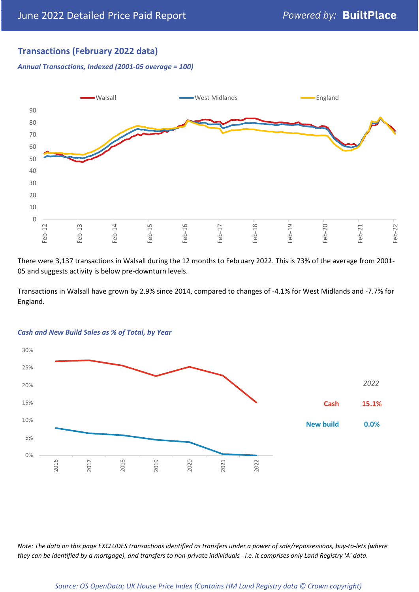# **Transactions (February 2022 data)**

*Annual Transactions, Indexed (2001-05 average = 100)*



There were 3,137 transactions in Walsall during the 12 months to February 2022. This is 73% of the average from 2001- 05 and suggests activity is below pre-downturn levels.

Transactions in Walsall have grown by 2.9% since 2014, compared to changes of -4.1% for West Midlands and -7.7% for England.



#### *Cash and New Build Sales as % of Total, by Year*

*Note: The data on this page EXCLUDES transactions identified as transfers under a power of sale/repossessions, buy-to-lets (where they can be identified by a mortgage), and transfers to non-private individuals - i.e. it comprises only Land Registry 'A' data.*